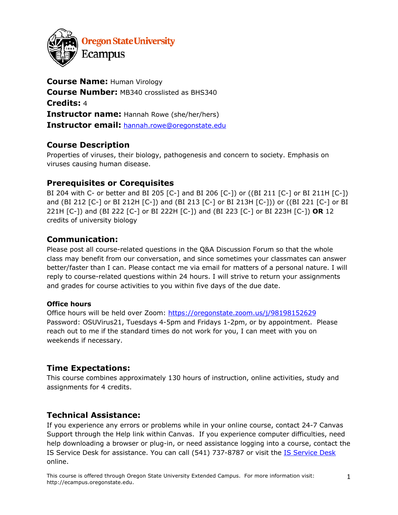

**Course Name:** Human Virology **Course Number:** MB340 crosslisted as BHS340 **Credits:** 4 **Instructor name:** Hannah Rowe (she/her/hers) **Instructor email:** hannah.rowe@oregonstate.edu

# **Course Description**

Properties of viruses, their biology, pathogenesis and concern to society. Emphasis on viruses causing human disease.

## **Prerequisites or Corequisites**

BI 204 with C- or better and BI 205 [C-] and BI 206 [C-]) or ((BI 211 [C-] or BI 211H [C-]) and (BI 212 [C-] or BI 212H [C-]) and (BI 213 [C-] or BI 213H [C-])) or ((BI 221 [C-] or BI 221H [C-]) and (BI 222 [C-] or BI 222H [C-]) and (BI 223 [C-] or BI 223H [C-]) **OR** 12 credits of university biology

## **Communication:**

Please post all course-related questions in the Q&A Discussion Forum so that the whole class may benefit from our conversation, and since sometimes your classmates can answer better/faster than I can. Please contact me via email for matters of a personal nature. I will reply to course-related questions within 24 hours. I will strive to return your assignments and grades for course activities to you within five days of the due date.

#### **Office hours**

Office hours will be held over Zoom: https://oregonstate.zoom.us/j/98198152629 Password: OSUVirus21, Tuesdays 4-5pm and Fridays 1-2pm, or by appointment. Please reach out to me if the standard times do not work for you, I can meet with you on weekends if necessary.

## **Time Expectations:**

This course combines approximately 130 hours of instruction, online activities, study and assignments for 4 credits.

## **Technical Assistance:**

If you experience any errors or problems while in your online course, contact 24-7 Canvas Support through the Help link within Canvas. If you experience computer difficulties, need help downloading a browser or plug-in, or need assistance logging into a course, contact the IS Service Desk for assistance. You can call (541) 737-8787 or visit the IS Service Desk online.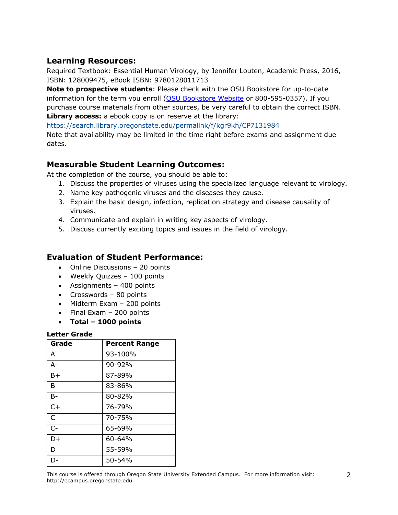## **Learning Resources:**

Required Textbook: Essential Human Virology, by Jennifer Louten, Academic Press, 2016, ISBN: 128009475, eBook ISBN: 9780128011713

**Note to prospective students**: Please check with the OSU Bookstore for up-to-date information for the term you enroll (OSU Bookstore Website or 800-595-0357). If you purchase course materials from other sources, be very careful to obtain the correct ISBN. **Library access:** a ebook copy is on reserve at the library:

https://search.library.oregonstate.edu/permalink/f/kgr9kh/CP7131984

Note that availability may be limited in the time right before exams and assignment due dates.

## **Measurable Student Learning Outcomes:**

At the completion of the course, you should be able to:

- 1. Discuss the properties of viruses using the specialized language relevant to virology.
- 2. Name key pathogenic viruses and the diseases they cause.
- 3. Explain the basic design, infection, replication strategy and disease causality of viruses.
- 4. Communicate and explain in writing key aspects of virology.
- 5. Discuss currently exciting topics and issues in the field of virology.

## **Evaluation of Student Performance:**

- Online Discussions 20 points
- Weekly Quizzes 100 points
- Assignments 400 points
- Crosswords 80 points
- Midterm Exam 200 points
- Final Exam 200 points
- **Total – 1000 points**

#### **Letter Grade**

| Grade        | <b>Percent Range</b> |
|--------------|----------------------|
| A            | 93-100%              |
| $A -$        | 90-92%               |
| B+           | 87-89%               |
| B            | 83-86%               |
| $B-$         | 80-82%               |
| $C+$         | 76-79%               |
| $\mathsf{C}$ | 70-75%               |
| $C-$         | 65-69%               |
| D+           | 60-64%               |
| D            | 55-59%               |
| I۱.          | 50-54%               |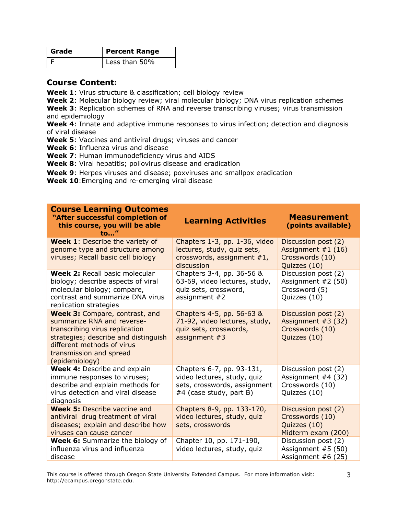| Grade | <b>Percent Range</b> |
|-------|----------------------|
|       | Less than 50%        |

## **Course Content:**

**Week 1**: Virus structure & classification; cell biology review

**Week 2**: Molecular biology review; viral molecular biology; DNA virus replication schemes **Week 3**: Replication schemes of RNA and reverse transcribing viruses; virus transmission and epidemiology

Week 4: Innate and adaptive immune responses to virus infection; detection and diagnosis of viral disease

**Week 5**: Vaccines and antiviral drugs; viruses and cancer

**Week 6**: Influenza virus and disease

**Week 7**: Human immunodeficiency virus and AIDS

**Week 8**: Viral hepatitis; poliovirus disease and eradication

**Week 9**: Herpes viruses and disease; poxviruses and smallpox eradication

**Week 10**:Emerging and re-emerging viral disease

| <b>Course Learning Outcomes</b><br>"After successful completion of<br>this course, you will be able<br>to"                                                                                                               | <b>Learning Activities</b>                                                                                          | <b>Measurement</b><br>(points available)                                      |
|--------------------------------------------------------------------------------------------------------------------------------------------------------------------------------------------------------------------------|---------------------------------------------------------------------------------------------------------------------|-------------------------------------------------------------------------------|
| <b>Week 1: Describe the variety of</b><br>genome type and structure among<br>viruses; Recall basic cell biology                                                                                                          | Chapters 1-3, pp. 1-36, video<br>lectures, study, quiz sets,<br>crosswords, assignment $#1$ ,<br>discussion         | Discussion post (2)<br>Assignment $#1(16)$<br>Crosswords (10)<br>Quizzes (10) |
| Week 2: Recall basic molecular<br>biology; describe aspects of viral<br>molecular biology; compare,<br>contrast and summarize DNA virus<br>replication strategies                                                        | Chapters 3-4, pp. 36-56 &<br>63-69, video lectures, study,<br>quiz sets, crossword,<br>assignment $#2$              | Discussion post (2)<br>Assignment #2 (50)<br>Crossword (5)<br>Quizzes (10)    |
| <b>Week 3: Compare, contrast, and</b><br>summarize RNA and reverse-<br>transcribing virus replication<br>strategies; describe and distinguish<br>different methods of virus<br>transmission and spread<br>(epidemiology) | Chapters 4-5, pp. 56-63 &<br>71-92, video lectures, study,<br>quiz sets, crosswords,<br>assignment $#3$             | Discussion post (2)<br>Assignment $#3(32)$<br>Crosswords (10)<br>Quizzes (10) |
| <b>Week 4: Describe and explain</b><br>immune responses to viruses;<br>describe and explain methods for<br>virus detection and viral disease<br>diagnosis                                                                | Chapters 6-7, pp. 93-131,<br>video lectures, study, quiz<br>sets, crosswords, assignment<br>#4 (case study, part B) | Discussion post (2)<br>Assignment #4 (32)<br>Crosswords (10)<br>Quizzes (10)  |
| <b>Week 5:</b> Describe vaccine and<br>antiviral drug treatment of viral<br>diseases; explain and describe how<br>viruses can cause cancer                                                                               | Chapters 8-9, pp. 133-170,<br>video lectures, study, quiz<br>sets, crosswords                                       | Discussion post (2)<br>Crosswords (10)<br>Quizzes (10)<br>Midterm exam (200)  |
| <b>Week 6:</b> Summarize the biology of<br>influenza virus and influenza<br>disease                                                                                                                                      | Chapter 10, pp. 171-190,<br>video lectures, study, quiz                                                             | Discussion post (2)<br>Assignment #5 (50)<br>Assignment $#6(25)$              |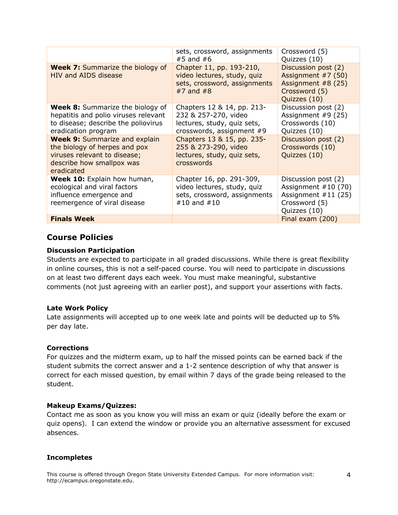|                                                                                                                                                  | sets, crossword, assignments<br>$#5$ and $#6$                                                                  | Crossword (5)<br>Quizzes (10)                                                                         |
|--------------------------------------------------------------------------------------------------------------------------------------------------|----------------------------------------------------------------------------------------------------------------|-------------------------------------------------------------------------------------------------------|
| <b>Week 7:</b> Summarize the biology of<br><b>HIV and AIDS disease</b>                                                                           | Chapter 11, pp. 193-210,<br>video lectures, study, quiz<br>sets, crossword, assignments<br>$#7$ and $#8$       | Discussion post (2)<br>Assignment #7 (50)<br>Assignment $#8(25)$<br>Crossword (5)<br>Quizzes (10)     |
| <b>Week 8:</b> Summarize the biology of<br>hepatitis and polio viruses relevant<br>to disease; describe the poliovirus<br>eradication program    | Chapters 12 & 14, pp. 213-<br>232 & 257-270, video<br>lectures, study, quiz sets,<br>crosswords, assignment #9 | Discussion post (2)<br>Assignment $#9(25)$<br>Crosswords (10)<br>Quizzes (10)                         |
| <b>Week 9: Summarize and explain</b><br>the biology of herpes and pox<br>viruses relevant to disease;<br>describe how smallpox was<br>eradicated | Chapters 13 & 15, pp. 235-<br>255 & 273-290, video<br>lectures, study, quiz sets,<br>crosswords                | Discussion post (2)<br>Crosswords (10)<br>Quizzes (10)                                                |
| Week 10: Explain how human,<br>ecological and viral factors<br>influence emergence and<br>reemergence of viral disease                           | Chapter 16, pp. 291-309,<br>video lectures, study, quiz<br>sets, crossword, assignments<br>#10 and #10         | Discussion post (2)<br>Assignment $#10(70)$<br>Assignment $#11$ (25)<br>Crossword (5)<br>Quizzes (10) |
| <b>Finals Week</b>                                                                                                                               |                                                                                                                | Final exam (200)                                                                                      |

## **Course Policies**

#### **Discussion Participation**

Students are expected to participate in all graded discussions. While there is great flexibility in online courses, this is not a self-paced course. You will need to participate in discussions on at least two different days each week. You must make meaningful, substantive comments (not just agreeing with an earlier post), and support your assertions with facts.

#### **Late Work Policy**

Late assignments will accepted up to one week late and points will be deducted up to 5% per day late.

#### **Corrections**

For quizzes and the midterm exam, up to half the missed points can be earned back if the student submits the correct answer and a 1-2 sentence description of why that answer is correct for each missed question, by email within 7 days of the grade being released to the student.

#### **Makeup Exams/Quizzes:**

Contact me as soon as you know you will miss an exam or quiz (ideally before the exam or quiz opens). I can extend the window or provide you an alternative assessment for excused absences.

#### **Incompletes**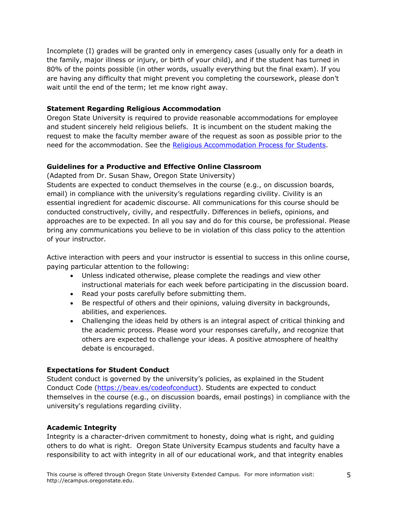Incomplete (I) grades will be granted only in emergency cases (usually only for a death in the family, major illness or injury, or birth of your child), and if the student has turned in 80% of the points possible (in other words, usually everything but the final exam). If you are having any difficulty that might prevent you completing the coursework, please don't wait until the end of the term; let me know right away.

### **Statement Regarding Religious Accommodation**

Oregon State University is required to provide reasonable accommodations for employee and student sincerely held religious beliefs. It is incumbent on the student making the request to make the faculty member aware of the request as soon as possible prior to the need for the accommodation. See the Religious Accommodation Process for Students.

### **Guidelines for a Productive and Effective Online Classroom**

(Adapted from Dr. Susan Shaw, Oregon State University)

Students are expected to conduct themselves in the course (e.g., on discussion boards, email) in compliance with the university's regulations regarding civility. Civility is an essential ingredient for academic discourse. All communications for this course should be conducted constructively, civilly, and respectfully. Differences in beliefs, opinions, and approaches are to be expected. In all you say and do for this course, be professional. Please bring any communications you believe to be in violation of this class policy to the attention of your instructor.

Active interaction with peers and your instructor is essential to success in this online course, paying particular attention to the following:

- Unless indicated otherwise, please complete the readings and view other instructional materials for each week before participating in the discussion board.
- Read your posts carefully before submitting them.
- Be respectful of others and their opinions, valuing diversity in backgrounds, abilities, and experiences.
- Challenging the ideas held by others is an integral aspect of critical thinking and the academic process. Please word your responses carefully, and recognize that others are expected to challenge your ideas. A positive atmosphere of healthy debate is encouraged.

## **Expectations for Student Conduct**

Student conduct is governed by the university's policies, as explained in the Student Conduct Code (https://beav.es/codeofconduct). Students are expected to conduct themselves in the course (e.g., on discussion boards, email postings) in compliance with the university's regulations regarding civility.

## **Academic Integrity**

Integrity is a character-driven commitment to honesty, doing what is right, and guiding others to do what is right. Oregon State University Ecampus students and faculty have a responsibility to act with integrity in all of our educational work, and that integrity enables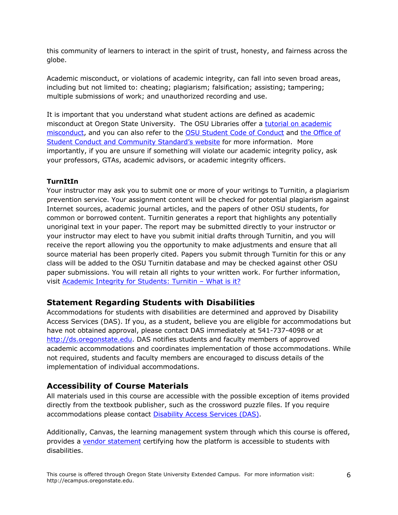this community of learners to interact in the spirit of trust, honesty, and fairness across the globe.

Academic misconduct, or violations of academic integrity, can fall into seven broad areas, including but not limited to: cheating; plagiarism; falsification; assisting; tampering; multiple submissions of work; and unauthorized recording and use.

It is important that you understand what student actions are defined as academic misconduct at Oregon State University. The OSU Libraries offer a tutorial on academic misconduct, and you can also refer to the OSU Student Code of Conduct and the Office of Student Conduct and Community Standard's website for more information. More importantly, if you are unsure if something will violate our academic integrity policy, ask your professors, GTAs, academic advisors, or academic integrity officers.

## **TurnItIn**

Your instructor may ask you to submit one or more of your writings to Turnitin, a plagiarism prevention service. Your assignment content will be checked for potential plagiarism against Internet sources, academic journal articles, and the papers of other OSU students, for common or borrowed content. Turnitin generates a report that highlights any potentially unoriginal text in your paper. The report may be submitted directly to your instructor or your instructor may elect to have you submit initial drafts through Turnitin, and you will receive the report allowing you the opportunity to make adjustments and ensure that all source material has been properly cited. Papers you submit through Turnitin for this or any class will be added to the OSU Turnitin database and may be checked against other OSU paper submissions. You will retain all rights to your written work. For further information, visit Academic Integrity for Students: Turnitin – What is it?

# **Statement Regarding Students with Disabilities**

Accommodations for students with disabilities are determined and approved by Disability Access Services (DAS). If you, as a student, believe you are eligible for accommodations but have not obtained approval, please contact DAS immediately at 541-737-4098 or at http://ds.oregonstate.edu. DAS notifies students and faculty members of approved academic accommodations and coordinates implementation of those accommodations. While not required, students and faculty members are encouraged to discuss details of the implementation of individual accommodations.

# **Accessibility of Course Materials**

All materials used in this course are accessible with the possible exception of items provided directly from the textbook publisher, such as the crossword puzzle files. If you require accommodations please contact Disability Access Services (DAS).

Additionally, Canvas, the learning management system through which this course is offered, provides a vendor statement certifying how the platform is accessible to students with disabilities.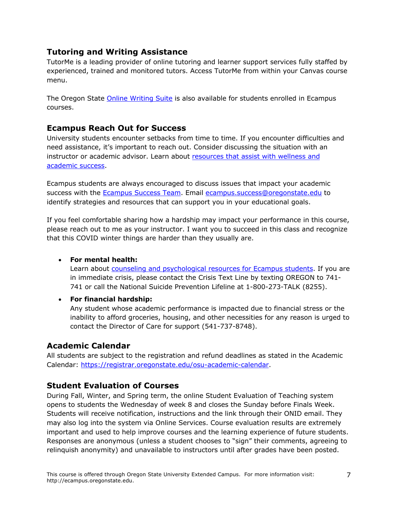## **Tutoring and Writing Assistance**

TutorMe is a leading provider of online tutoring and learner support services fully staffed by experienced, trained and monitored tutors. Access TutorMe from within your Canvas course menu.

The Oregon State Online Writing Suite is also available for students enrolled in Ecampus courses.

## **Ecampus Reach Out for Success**

University students encounter setbacks from time to time. If you encounter difficulties and need assistance, it's important to reach out. Consider discussing the situation with an instructor or academic advisor. Learn about resources that assist with wellness and academic success.

Ecampus students are always encouraged to discuss issues that impact your academic success with the **Ecampus Success Team.** Email ecampus.success@oregonstate.edu to identify strategies and resources that can support you in your educational goals.

If you feel comfortable sharing how a hardship may impact your performance in this course, please reach out to me as your instructor. I want you to succeed in this class and recognize that this COVID winter things are harder than they usually are.

## • **For mental health:**

Learn about counseling and psychological resources for Ecampus students. If you are in immediate crisis, please contact the Crisis Text Line by texting OREGON to 741- 741 or call the National Suicide Prevention Lifeline at 1-800-273-TALK (8255).

## • **For financial hardship:**

Any student whose academic performance is impacted due to financial stress or the inability to afford groceries, housing, and other necessities for any reason is urged to contact the Director of Care for support (541-737-8748).

# **Academic Calendar**

All students are subject to the registration and refund deadlines as stated in the Academic Calendar: https://registrar.oregonstate.edu/osu-academic-calendar.

# **Student Evaluation of Courses**

During Fall, Winter, and Spring term, the online Student Evaluation of Teaching system opens to students the Wednesday of week 8 and closes the Sunday before Finals Week. Students will receive notification, instructions and the link through their ONID email. They may also log into the system via Online Services. Course evaluation results are extremely important and used to help improve courses and the learning experience of future students. Responses are anonymous (unless a student chooses to "sign" their comments, agreeing to relinquish anonymity) and unavailable to instructors until after grades have been posted.